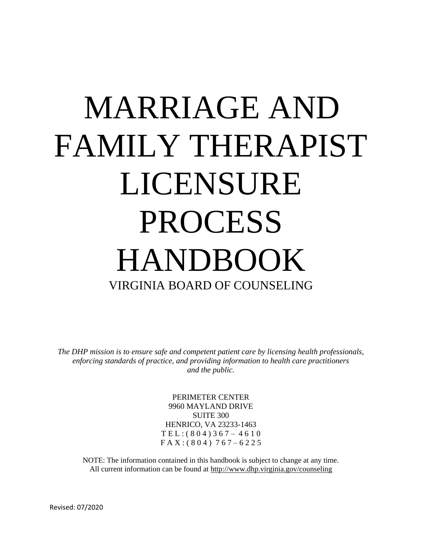# MARRIAGE AND FAMILY THERAPIST LICENSURE PROCESS HANDBOOK VIRGINIA BOARD OF COUNSELING

*The DHP mission is to ensure safe and competent patient care by licensing health professionals, enforcing standards of practice, and providing information to health care practitioners and the public.* 

> PERIMETER CENTER 9960 MAYLAND DRIVE SUITE 300 HENRICO, VA 23233-1463 T E L : ( 8 0 4 ) 3 6 7 – 4 6 1 0 F A X : ( 8 0 4 ) 7 6 7 – 6 2 2 5

NOTE: The information contained in this handbook is subject to change at any time. All current information can be found at http://www.dhp.virginia.gov/counseling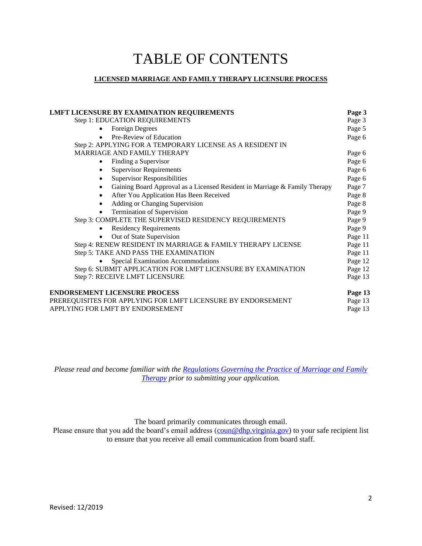# TABLE OF CONTENTS

#### **LICENSED MARRIAGE AND FAMILY THERAPY LICENSURE PROCESS**

| <b>LMFT LICENSURE BY EXAMINATION REQUIREMENTS</b>                                       | Page 3  |
|-----------------------------------------------------------------------------------------|---------|
| Step 1: EDUCATION REQUIREMENTS                                                          | Page 3  |
| <b>Foreign Degrees</b>                                                                  | Page 5  |
| Pre-Review of Education                                                                 | Page 6  |
| Step 2: APPLYING FOR A TEMPORARY LICENSE AS A RESIDENT IN                               |         |
| MARRIAGE AND FAMILY THERAPY                                                             | Page 6  |
| Finding a Supervisor                                                                    | Page 6  |
| <b>Supervisor Requirements</b>                                                          | Page 6  |
| <b>Supervisor Responsibilities</b>                                                      | Page 6  |
| Gaining Board Approval as a Licensed Resident in Marriage & Family Therapy<br>$\bullet$ | Page 7  |
| After You Application Has Been Received                                                 | Page 8  |
| Adding or Changing Supervision                                                          | Page 8  |
| Termination of Supervision                                                              | Page 9  |
| Step 3: COMPLETE THE SUPERVISED RESIDENCY REQUIREMENTS                                  | Page 9  |
| <b>Residency Requirements</b>                                                           | Page 9  |
| Out of State Supervision                                                                | Page 11 |
| Step 4: RENEW RESIDENT IN MARRIAGE & FAMILY THERAPY LICENSE                             | Page 11 |
| Step 5: TAKE AND PASS THE EXAMINATION                                                   | Page 11 |
| Special Examination Accommodations                                                      | Page 12 |
| Step 6: SUBMIT APPLICATION FOR LMFT LICENSURE BY EXAMINATION                            | Page 12 |
| Step 7: RECEIVE LMFT LICENSURE                                                          | Page 13 |
| <b>ENDORSEMENT LICENSURE PROCESS</b>                                                    | Page 13 |
| PREREQUISITES FOR APPLYING FOR LMFT LICENSURE BY ENDORSEMENT                            | Page 13 |
| APPLYING FOR LMFT BY ENDORSEMENT                                                        | Page 13 |
|                                                                                         |         |

*Please read and become familiar with the [Regulations Governing the Practice of Marriage and Family](https://www.dhp.virginia.gov/counseling/counseling_laws_regs.htm)  [Therapy](https://www.dhp.virginia.gov/counseling/counseling_laws_regs.htm) prior to submitting your application.* 

The board primarily communicates through email.

Please ensure that you add the board's email address [\(coun@dhp.virginia.gov\)](mailto:coun@dhp.virginia.gov) to your safe recipient list to ensure that you receive all email communication from board staff.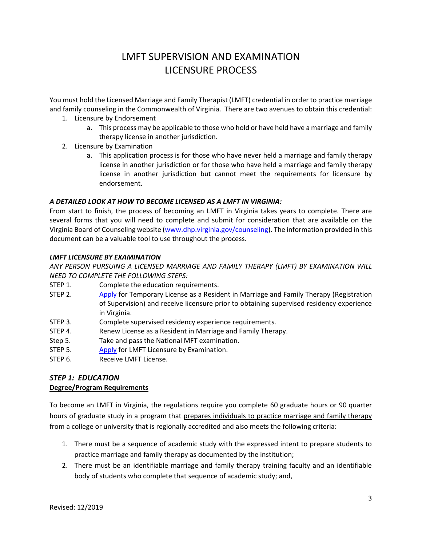# LMFT SUPERVISION AND EXAMINATION LICENSURE PROCESS

You must hold the Licensed Marriage and Family Therapist (LMFT) credential in order to practice marriage and family counseling in the Commonwealth of Virginia. There are two avenues to obtain this credential:

- 1. Licensure by Endorsement
	- a. This process may be applicable to those who hold or have held have a marriage and family therapy license in another jurisdiction.
- 2. Licensure by Examination
	- a. This application process is for those who have never held a marriage and family therapy license in another jurisdiction or for those who have held a marriage and family therapy license in another jurisdiction but cannot meet the requirements for licensure by endorsement.

#### *A DETAILED LOOK AT HOW TO BECOME LICENSED AS A LMFT IN VIRGINIA:*

From start to finish, the process of becoming an LMFT in Virginia takes years to complete. There are several forms that you will need to complete and submit for consideration that are available on the Virginia Board of Counseling website [\(www.dhp.virginia.gov/counseling\)](http://www.dhp.virginia.gov/counseling). The information provided in this document can be a valuable tool to use throughout the process.

#### <span id="page-2-0"></span>*LMFT LICENSURE BY EXAMINATION*

*ANY PERSON PURSUING A LICENSED MARRIAGE AND FAMILY THERAPY (LMFT) BY EXAMINATION WILL NEED TO COMPLETE THE FOLLOWING STEPS:* 

- STEP 1. Complete the education requirements.
- STEP 2. [Apply](https://www.dhp.virginia.gov/counseling/counseling_forms.htm) for Temporary License as a Resident in Marriage and Family Therapy (Registration of Supervision) and receive licensure prior to obtaining supervised residency experience in Virginia.
- STEP 3. Complete supervised residency experience requirements.
- STEP 4. Renew License as a Resident in Marriage and Family Therapy.
- Step 5. Take and pass the National MFT examination.
- STEP 5. [Apply](https://www.dhp.virginia.gov/counseling/counseling_forms.htm) for LMFT Licensure by Examination.
- STEP 6. Receive LMFT License.

### <span id="page-2-1"></span>*STEP 1: EDUCATION*

#### **Degree/Program Requirements**

To become an LMFT in Virginia, the regulations require you complete 60 graduate hours or 90 quarter hours of graduate study in a program that prepares individuals to practice marriage and family therapy from a college or university that is regionally accredited and also meets the following criteria:

- 1. There must be a sequence of academic study with the expressed intent to prepare students to practice marriage and family therapy as documented by the institution;
- 2. There must be an identifiable marriage and family therapy training faculty and an identifiable body of students who complete that sequence of academic study; and,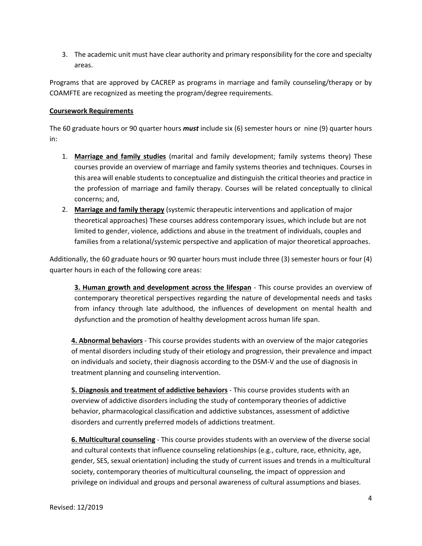3. The academic unit must have clear authority and primary responsibility for the core and specialty areas.

Programs that are approved by CACREP as programs in marriage and family counseling/therapy or by COAMFTE are recognized as meeting the program/degree requirements.

#### **Coursework Requirements**

The 60 graduate hours or 90 quarter hours *must* include six (6) semester hours or nine (9) quarter hours in:

- 1. **Marriage and family studies** (marital and family development; family systems theory) These courses provide an overview of marriage and family systems theories and techniques. Courses in this area will enable students to conceptualize and distinguish the critical theories and practice in the profession of marriage and family therapy. Courses will be related conceptually to clinical concerns; and,
- 2. **Marriage and family therapy** (systemic therapeutic interventions and application of major theoretical approaches) These courses address contemporary issues, which include but are not limited to gender, violence, addictions and abuse in the treatment of individuals, couples and families from a relational/systemic perspective and application of major theoretical approaches.

Additionally, the 60 graduate hours or 90 quarter hours must include three (3) semester hours or four (4) quarter hours in each of the following core areas:

**3. Human growth and development across the lifespan** - This course provides an overview of contemporary theoretical perspectives regarding the nature of developmental needs and tasks from infancy through late adulthood, the influences of development on mental health and dysfunction and the promotion of healthy development across human life span.

**4. Abnormal behaviors** - This course provides students with an overview of the major categories of mental disorders including study of their etiology and progression, their prevalence and impact on individuals and society, their diagnosis according to the DSM-V and the use of diagnosis in treatment planning and counseling intervention.

**5. Diagnosis and treatment of addictive behaviors** - This course provides students with an overview of addictive disorders including the study of contemporary theories of addictive behavior, pharmacological classification and addictive substances, assessment of addictive disorders and currently preferred models of addictions treatment.

**6. Multicultural counseling** - This course provides students with an overview of the diverse social and cultural contexts that influence counseling relationships (e.g., culture, race, ethnicity, age, gender, SES, sexual orientation) including the study of current issues and trends in a multicultural society, contemporary theories of multicultural counseling, the impact of oppression and privilege on individual and groups and personal awareness of cultural assumptions and biases.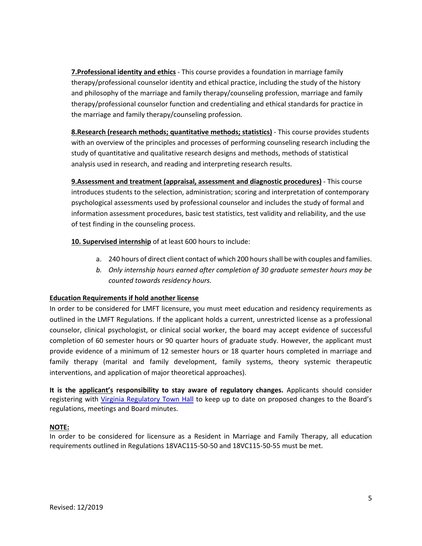**7.Professional identity and ethics** - This course provides a foundation in marriage family therapy/professional counselor identity and ethical practice, including the study of the history and philosophy of the marriage and family therapy/counseling profession, marriage and family therapy/professional counselor function and credentialing and ethical standards for practice in the marriage and family therapy/counseling profession.

**8.Research (research methods; quantitative methods; statistics)** - This course provides students with an overview of the principles and processes of performing counseling research including the study of quantitative and qualitative research designs and methods, methods of statistical analysis used in research, and reading and interpreting research results.

**9.Assessment and treatment (appraisal, assessment and diagnostic procedures)** - This course introduces students to the selection, administration; scoring and interpretation of contemporary psychological assessments used by professional counselor and includes the study of formal and information assessment procedures, basic test statistics, test validity and reliability, and the use of test finding in the counseling process.

**10. Supervised internship** of at least 600 hours to include:

- a. 240 hours of direct client contact of which 200 hours shall be with couples and families.
- *b. Only internship hours earned after completion of 30 graduate semester hours may be counted towards residency hours.*

#### **Education Requirements if hold another license**

In order to be considered for LMFT licensure, you must meet education and residency requirements as outlined in the LMFT Regulations. If the applicant holds a current, unrestricted license as a professional counselor, clinical psychologist, or clinical social worker, the board may accept evidence of successful completion of 60 semester hours or 90 quarter hours of graduate study. However, the applicant must provide evidence of a minimum of 12 semester hours or 18 quarter hours completed in marriage and family therapy (marital and family development, family systems, theory systemic therapeutic interventions, and application of major theoretical approaches).

**It is the applicant's responsibility to stay aware of regulatory changes.** Applicants should consider registering with [Virginia Regulatory Town Hall](https://townhall.virginia.gov/) to keep up to date on proposed changes to the Board's regulations, meetings and Board minutes.

#### **NOTE:**

<span id="page-4-0"></span>In order to be considered for licensure as a Resident in Marriage and Family Therapy, all education requirements outlined in Regulations 18VAC115-50-50 and 18VC115-50-55 must be met.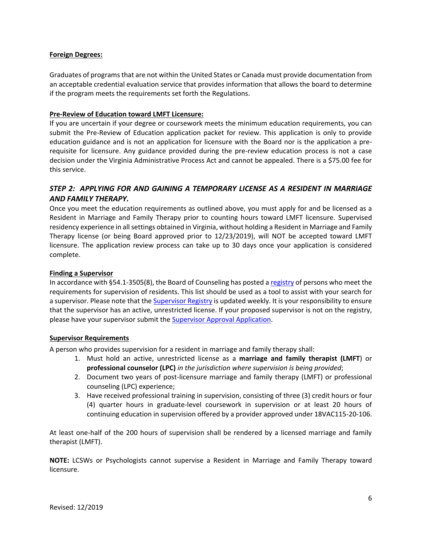#### **Foreign Degrees:**

Graduates of programs that are not within the United States or Canada must provide documentation from an acceptable credential evaluation service that provides information that allows the board to determine if the program meets the requirements set forth the Regulations.

#### <span id="page-5-0"></span>**Pre-Review of Education toward LMFT Licensure:**

If you are uncertain if your degree or coursework meets the minimum education requirements, you can submit the Pre-Review of Education application packet for review. This application is only to provide education guidance and is not an application for licensure with the Board nor is the application a prerequisite for licensure. Any guidance provided during the pre-review education process is not a case decision under the Virginia Administrative Process Act and cannot be appealed. There is a \$75.00 fee for this service.

#### <span id="page-5-1"></span>*STEP 2: APPLYING FOR AND GAINING A TEMPORARY LICENSE AS A RESIDENT IN MARRIAGE AND FAMILY THERAPY.*

Once you meet the education requirements as outlined above, you must apply for and be licensed as a Resident in Marriage and Family Therapy prior to counting hours toward LMFT licensure. Supervised residency experience in all settings obtained in Virginia, without holding a Resident in Marriage and Family Therapy license (or being Board approved prior to 12/23/2019), will NOT be accepted toward LMFT licensure. The application review process can take up to 30 days once your application is considered complete.

#### <span id="page-5-2"></span>**Finding a Supervisor**

In accordance with §54.1-3505(8), the Board of Counseling has posted a [registry](https://www.dhp.virginia.gov/counseling/counseling_supervisors.htm) of persons who meet the requirements for supervision of residents. This list should be used as a tool to assist with your search for a supervisor. Please note that th[e Supervisor Registry](https://www.dhp.virginia.gov/counseling/counseling_supervisors.htm) is updated weekly. It is your responsibility to ensure that the supervisor has an active, unrestricted license. If your proposed supervisor is not on the registry, please have your supervisor submit the [Supervisor Approval Application.](https://www.dhp.virginia.gov/counseling/counseling_supervisors.htm)

#### <span id="page-5-3"></span>**Supervisor Requirements**

A person who provides supervision for a resident in marriage and family therapy shall:

- 1. Must hold an active, unrestricted license as a **marriage and family therapist (LMFT**) or **professional counselor (LPC)** *in the jurisdiction where supervision is being provided*;
- 2. Document two years of post-licensure marriage and family therapy (LMFT) or professional counseling (LPC) experience;
- 3. Have received professional training in supervision, consisting of three (3) credit hours or four (4) quarter hours in graduate-level coursework in supervision or at least 20 hours of continuing education in supervision offered by a provider approved under 18VAC115-20-106.

At least one-half of the 200 hours of supervision shall be rendered by a licensed marriage and family therapist (LMFT).

**NOTE:** LCSWs or Psychologists cannot supervise a Resident in Marriage and Family Therapy toward licensure.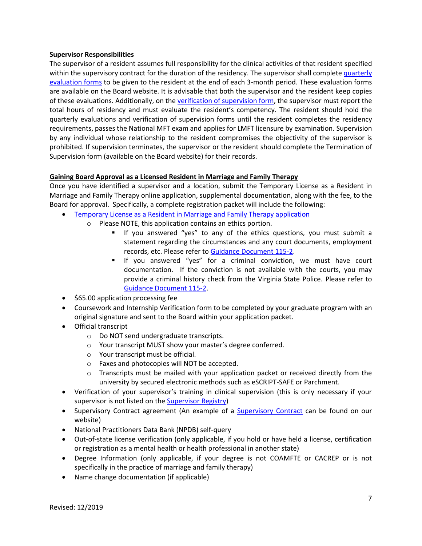#### <span id="page-6-0"></span>**Supervisor Responsibilities**

The supervisor of a resident assumes full responsibility for the clinical activities of that resident specified within the supervisory contract for the duration of the residency. The supervisor shall complete quarterly [evaluation forms](https://www.dhp.virginia.gov/counseling/counseling_forms.htm) to be given to the resident at the end of each 3-month period. These evaluation forms are available on the Board website. It is advisable that both the supervisor and the resident keep copies of these evaluations. Additionally, on th[e verification of supervision form,](https://www.dhp.virginia.gov/counseling/counseling_forms.htm) the supervisor must report the total hours of residency and must evaluate the resident's competency. The resident should hold the quarterly evaluations and verification of supervision forms until the resident completes the residency requirements, passes the National MFT exam and applies for LMFT licensure by examination. Supervision by any individual whose relationship to the resident compromises the objectivity of the supervisor is prohibited. If supervision terminates, the supervisor or the resident should complete the Termination of Supervision form (available on the Board website) for their records.

#### <span id="page-6-1"></span>**Gaining Board Approval as a Licensed Resident in Marriage and Family Therapy**

Once you have identified a supervisor and a location, submit the Temporary License as a Resident in Marriage and Family Therapy online application, supplemental documentation, along with the fee, to the Board for approval. Specifically, a complete registration packet will include the following:

- [Temporary License as a Resident in Marriage and Family Therapy application](https://www.dhp.virginia.gov/counseling/counseling_forms.htm)
	- o Please NOTE, this application contains an ethics portion.
		- If you answered "yes" to any of the ethics questions, you must submit a statement regarding the circumstances and any court documents, employment records, etc. Please refer t[o Guidance Document 115-2.](https://www.dhp.virginia.gov/counseling/counseling_guidelines.htm)
		- If you answered "yes" for a criminal conviction, we must have court documentation. If the conviction is not available with the courts, you may provide a criminal history check from the Virginia State Police. Please refer to [Guidance Document 115-2.](https://www.dhp.virginia.gov/counseling/counseling_guidelines.htm)
- \$65.00 application processing fee
- Coursework and Internship Verification form to be completed by your graduate program with an original signature and sent to the Board within your application packet.
- Official transcript
	- o Do NOT send undergraduate transcripts.
	- o Your transcript MUST show your master's degree conferred.
	- o Your transcript must be official.
	- o Faxes and photocopies will NOT be accepted.
	- $\circ$  Transcripts must be mailed with your application packet or received directly from the university by secured electronic methods such as eSCRIPT-SAFE or Parchment.
- Verification of your supervisor's training in clinical supervision (this is only necessary if your supervisor is not listed on the [Supervisor Registry\)](https://www.dhp.virginia.gov/counseling/counseling_supervisors.htm)
- • [Supervisory Contract](https://www.dhp.virginia.gov/counseling/counseling_supervisors.htm) agreement (An example of a Supervisory Contract can be found on our website)
- National Practitioners Data Bank (NPDB) self-query
- Out-of-state license verification (only applicable, if you hold or have held a license, certification or registration as a mental health or health professional in another state)
- Degree Information (only applicable, if your degree is not COAMFTE or CACREP or is not specifically in the practice of marriage and family therapy)
- Name change documentation (if applicable)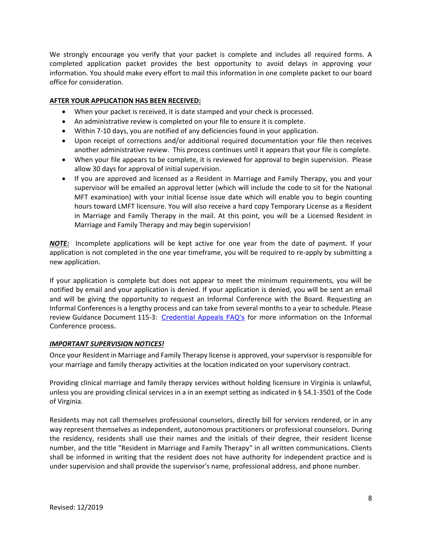We strongly encourage you verify that your packet is complete and includes all required forms. A completed application packet provides the best opportunity to avoid delays in approving your information. You should make every effort to mail this information in one complete packet to our board office for consideration.

#### <span id="page-7-0"></span>**AFTER YOUR APPLICATION HAS BEEN RECEIVED:**

- When your packet is received, it is date stamped and your check is processed.
- An administrative review is completed on your file to ensure it is complete.
- Within 7-10 days, you are notified of any deficiencies found in your application.
- Upon receipt of corrections and/or additional required documentation your file then receives another administrative review. This process continues until it appears that your file is complete.
- When your file appears to be complete, it is reviewed for approval to begin supervision. Please allow 30 days for approval of initial supervision.
- If you are approved and licensed as a Resident in Marriage and Family Therapy, you and your supervisor will be emailed an approval letter (which will include the code to sit for the National MFT examination) with your initial license issue date which will enable you to begin counting hours toward LMFT licensure. You will also receive a hard copy Temporary License as a Resident in Marriage and Family Therapy in the mail. At this point, you will be a Licensed Resident in Marriage and Family Therapy and may begin supervision!

*NOTE:* Incomplete applications will be kept active for one year from the date of payment. If your application is not completed in the one year timeframe, you will be required to re-apply by submitting a new application.

If your application is complete but does not appear to meet the minimum requirements, you will be notified by email and your application is denied. If your application is denied, you will be sent an email and will be giving the opportunity to request an Informal Conference with the Board. Requesting an Informal Conferences is a lengthy process and can take from several months to a year to schedule. Please review Guidance Document 115-3: Credential Appeals FAQ's for more information on the Informal Conference process.

#### *IMPORTANT SUPERVISION NOTICES!*

Once your Resident in Marriage and Family Therapy license is approved, your supervisor is responsible for your marriage and family therapy activities at the location indicated on your supervisory contract.

Providing clinical marriage and family therapy services without holding licensure in Virginia is unlawful, unless you are providing clinical services in a in an exempt setting as indicated in § 54.1-3501 of the Code of Virginia.

<span id="page-7-1"></span>Residents may not call themselves professional counselors, directly bill for services rendered, or in any way represent themselves as independent, autonomous practitioners or professional counselors. During the residency, residents shall use their names and the initials of their degree, their resident license number, and the title "Resident in Marriage and Family Therapy" in all written communications. Clients shall be informed in writing that the resident does not have authority for independent practice and is under supervision and shall provide the supervisor's name, professional address, and phone number.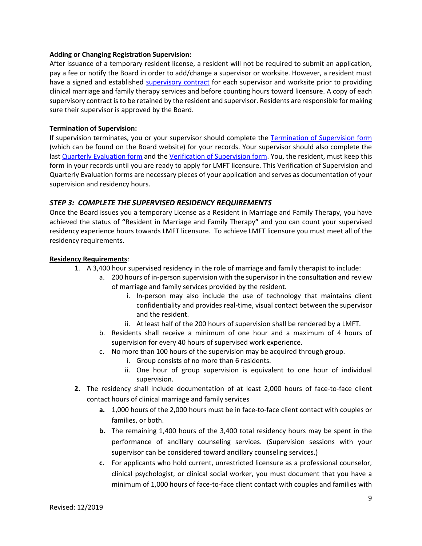#### **Adding or Changing Registration Supervision:**

After issuance of a temporary resident license, a resident will not be required to submit an application, pay a fee or notify the Board in order to add/change a supervisor or worksite. However, a resident must have a signed and established [supervisory contract](https://www.dhp.virginia.gov/counseling/counseling_supervisors.htm) for each supervisor and worksite prior to providing clinical marriage and family therapy services and before counting hours toward licensure. A copy of each supervisory contract is to be retained by the resident and supervisor. Residents are responsible for making sure their supervisor is approved by the Board.

#### <span id="page-8-0"></span>**Termination of Supervision:**

If supervision terminates, you or your supervisor should complete the [Termination of Supervision form](https://www.dhp.virginia.gov/counseling/counseling_forms.htm) (which can be found on the Board website) for your records. Your supervisor should also complete the last [Quarterly Evaluation form](https://www.dhp.virginia.gov/counseling/counseling_forms.htm) and the [Verification of Supervision form.](https://www.dhp.virginia.gov/counseling/counseling_forms.htm) You, the resident, must keep this form in your records until you are ready to apply for LMFT licensure. This Verification of Supervision and Quarterly Evaluation forms are necessary pieces of your application and serves as documentation of your supervision and residency hours.

#### <span id="page-8-1"></span>*STEP 3: COMPLETE THE SUPERVISED RESIDENCY REQUIREMENTS*

Once the Board issues you a temporary License as a Resident in Marriage and Family Therapy, you have achieved the status of **"**Resident in Marriage and Family Therapy**"** and you can count your supervised residency experience hours towards LMFT licensure. To achieve LMFT licensure you must meet all of the residency requirements.

#### <span id="page-8-2"></span>**Residency Requirements**:

- 1. A 3,400 hour supervised residency in the role of marriage and family therapist to include:
	- a. 200 hours of in-person supervision with the supervisor in the consultation and review of marriage and family services provided by the resident.
		- i. In-person may also include the use of technology that maintains client confidentiality and provides real-time, visual contact between the supervisor and the resident.
		- ii. At least half of the 200 hours of supervision shall be rendered by a LMFT.
	- b. Residents shall receive a minimum of one hour and a maximum of 4 hours of supervision for every 40 hours of supervised work experience.
	- c. No more than 100 hours of the supervision may be acquired through group.
		- i. Group consists of no more than 6 residents.
		- ii. One hour of group supervision is equivalent to one hour of individual supervision.
- **2.** The residency shall include documentation of at least 2,000 hours of face-to-face client contact hours of clinical marriage and family services
	- **a.** 1,000 hours of the 2,000 hours must be in face-to-face client contact with couples or families, or both.
	- **b.** The remaining 1,400 hours of the 3,400 total residency hours may be spent in the performance of ancillary counseling services. (Supervision sessions with your supervisor can be considered toward ancillary counseling services.)
	- **c.** For applicants who hold current, unrestricted licensure as a professional counselor, clinical psychologist, or clinical social worker, you must document that you have a minimum of 1,000 hours of face-to-face client contact with couples and families with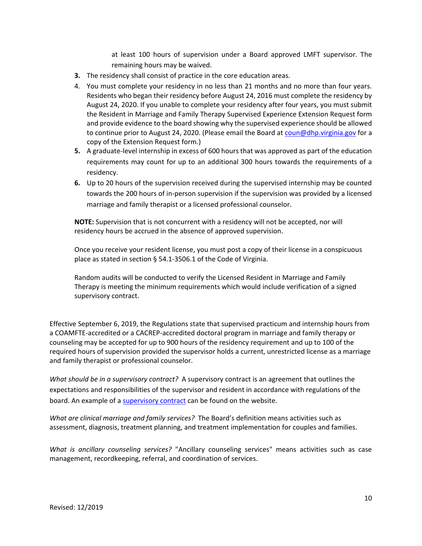at least 100 hours of supervision under a Board approved LMFT supervisor. The remaining hours may be waived.

- **3.** The residency shall consist of practice in the core education areas.
- 4. You must complete your residency in no less than 21 months and no more than four years. Residents who began their residency before August 24, 2016 must complete the residency by August 24, 2020. If you unable to complete your residency after four years, you must submit the Resident in Marriage and Family Therapy Supervised Experience Extension Request form and provide evidence to the board showing why the supervised experience should be allowed to continue prior to August 24, 2020. (Please email the Board at [coun@dhp.virginia.gov](mailto:coun@dhp.virginia.gov) for a copy of the Extension Request form.)
- **5.** A graduate-level internship in excess of 600 hours that was approved as part of the education requirements may count for up to an additional 300 hours towards the requirements of a residency.
- **6.** Up to 20 hours of the supervision received during the supervised internship may be counted towards the 200 hours of in-person supervision if the supervision was provided by a licensed marriage and family therapist or a licensed professional counselor.

**NOTE:** Supervision that is not concurrent with a residency will not be accepted, nor will residency hours be accrued in the absence of approved supervision.

Once you receive your resident license, you must post a copy of their license in a conspicuous place as stated in section § 54.1-3506.1 of the Code of Virginia.

Random audits will be conducted to verify the Licensed Resident in Marriage and Family Therapy is meeting the minimum requirements which would include verification of a signed supervisory contract.

Effective September 6, 2019, the Regulations state that supervised practicum and internship hours from a COAMFTE-accredited or a CACREP-accredited doctoral program in marriage and family therapy or counseling may be accepted for up to 900 hours of the residency requirement and up to 100 of the required hours of supervision provided the supervisor holds a current, unrestricted license as a marriage and family therapist or professional counselor.

*What should be in a supervisory contract?* A supervisory contract is an agreement that outlines the expectations and responsibilities of the supervisor and resident in accordance with regulations of the board. An example of a [supervisory contract](https://www.dhp.virginia.gov/counseling/counseling_supervisors.htm) can be found on the website.

*What are clinical marriage and family services?* The Board's definition means activities such as assessment, diagnosis, treatment planning, and treatment implementation for couples and families.

*What is ancillary counseling services?* "Ancillary counseling services" means activities such as case management, recordkeeping, referral, and coordination of services.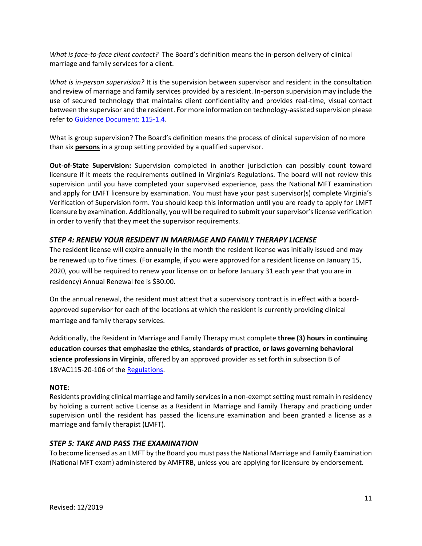*What is face-to-face client contact?* The Board's definition means the in-person delivery of clinical marriage and family services for a client.

*What is in-person supervision?* It is the supervision between supervisor and resident in the consultation and review of marriage and family services provided by a resident. In-person supervision may include the use of secured technology that maintains client confidentiality and provides real-time, visual contact between the supervisor and the resident. For more information on technology-assisted supervision please refer to [Guidance Document: 115-1.4.](https://www.dhp.virginia.gov/counseling/counseling_guidelines.htm)

What is group supervision? The Board's definition means the process of clinical supervision of no more than six **persons** in a group setting provided by a qualified supervisor.

<span id="page-10-0"></span>**Out-of-State Supervision:** Supervision completed in another jurisdiction can possibly count toward licensure if it meets the requirements outlined in Virginia's Regulations. The board will not review this supervision until you have completed your supervised experience, pass the National MFT examination and apply for LMFT licensure by examination. You must have your past supervisor(s) complete Virginia's Verification of Supervision form. You should keep this information until you are ready to apply for LMFT licensure by examination. Additionally, you will be required to submit your supervisor's license verification in order to verify that they meet the supervisor requirements.

#### <span id="page-10-1"></span>*STEP 4: RENEW YOUR RESIDENT IN MARRIAGE AND FAMILY THERAPY LICENSE*

The resident license will expire annually in the month the resident license was initially issued and may be renewed up to five times. (For example, if you were approved for a resident license on January 15, 2020, you will be required to renew your license on or before January 31 each year that you are in residency) Annual Renewal fee is \$30.00.

On the annual renewal, the resident must attest that a supervisory contract is in effect with a boardapproved supervisor for each of the locations at which the resident is currently providing clinical marriage and family therapy services.

Additionally, the Resident in Marriage and Family Therapy must complete **three (3) hours in continuing education courses that emphasize the ethics, standards of practice, or laws governing behavioral science professions in Virginia**, offered by an approved provider as set forth in subsection B of 18VAC115-20-106 of the [Regulations.](https://www.dhp.virginia.gov/counseling/counseling_laws_regs.htm)

#### **NOTE:**

Residents providing clinical marriage and family services in a non-exempt setting must remain in residency by holding a current active License as a Resident in Marriage and Family Therapy and practicing under supervision until the resident has passed the licensure examination and been granted a license as a marriage and family therapist (LMFT).

#### <span id="page-10-2"></span>*STEP 5: TAKE AND PASS THE EXAMINATION*

To become licensed as an LMFT by the Board you must pass the National Marriage and Family Examination (National MFT exam) administered by AMFTRB, unless you are applying for licensure by endorsement.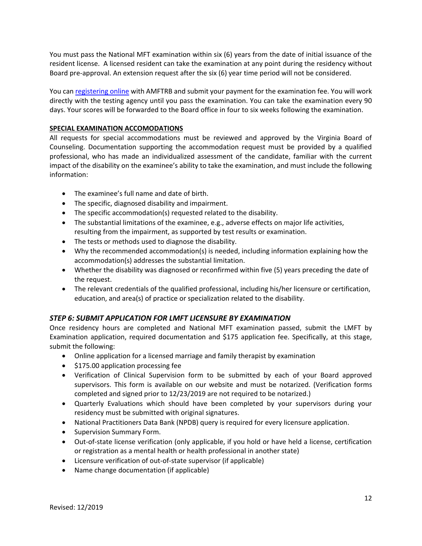You must pass the National MFT examination within six (6) years from the date of initial issuance of the resident license. A licensed resident can take the examination at any point during the residency without Board pre-approval. An extension request after the six (6) year time period will not be considered.

You can [registering online](https://amftrb.org/) with AMFTRB and submit your payment for the examination fee. You will work directly with the testing agency until you pass the examination. You can take the examination every 90 days. Your scores will be forwarded to the Board office in four to six weeks following the examination.

#### <span id="page-11-0"></span>**SPECIAL EXAMINATION ACCOMODATIONS**

All requests for special accommodations must be reviewed and approved by the Virginia Board of Counseling. Documentation supporting the accommodation request must be provided by a qualified professional, who has made an individualized assessment of the candidate, familiar with the current impact of the disability on the examinee's ability to take the examination, and must include the following information:

- The examinee's full name and date of birth.
- The specific, diagnosed disability and impairment.
- The specific accommodation(s) requested related to the disability.
- The substantial limitations of the examinee, e.g., adverse effects on major life activities, resulting from the impairment, as supported by test results or examination.
- The tests or methods used to diagnose the disability.
- Why the recommended accommodation(s) is needed, including information explaining how the accommodation(s) addresses the substantial limitation.
- Whether the disability was diagnosed or reconfirmed within five (5) years preceding the date of the request.
- The relevant credentials of the qualified professional, including his/her licensure or certification, education, and area(s) of practice or specialization related to the disability.

#### <span id="page-11-1"></span>*STEP 6: SUBMIT APPLICATION FOR LMFT LICENSURE BY EXAMINATION*

Once residency hours are completed and National MFT examination passed, submit the LMFT by Examination application, required documentation and \$175 application fee. Specifically, at this stage, submit the following:

- Online application for a licensed marriage and family therapist by examination
- \$175.00 application processing fee
- Verification of Clinical Supervision form to be submitted by each of your Board approved supervisors. This form is available on our website and must be notarized. (Verification forms completed and signed prior to 12/23/2019 are not required to be notarized.)
- Quarterly Evaluations which should have been completed by your supervisors during your residency must be submitted with original signatures.
- National Practitioners Data Bank (NPDB) query is required for every licensure application.
- Supervision Summary Form.
- Out-of-state license verification (only applicable, if you hold or have held a license, certification or registration as a mental health or health professional in another state)
- Licensure verification of out-of-state supervisor (if applicable)
- Name change documentation (if applicable)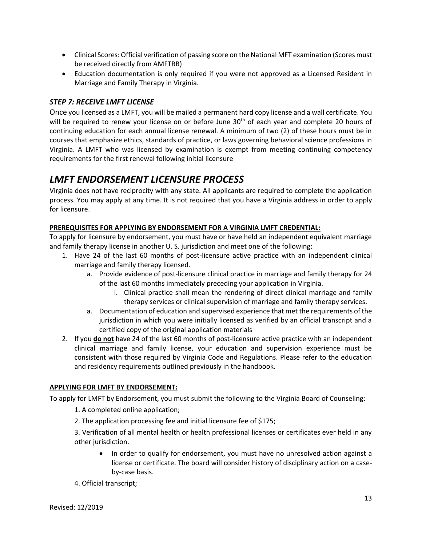- Clinical Scores: Official verification of passing score on the National MFT examination (Scores must be received directly from AMFTRB)
- Education documentation is only required if you were not approved as a Licensed Resident in Marriage and Family Therapy in Virginia.

#### <span id="page-12-0"></span>*STEP 7: RECEIVE LMFT LICENSE*

Once you licensed as a LMFT, you will be mailed a permanent hard copy license and a wall certificate. You will be required to renew your license on or before June 30<sup>th</sup> of each year and complete 20 hours of continuing education for each annual license renewal. A minimum of two (2) of these hours must be in courses that emphasize ethics, standards of practice, or laws governing behavioral science professions in Virginia. A LMFT who was licensed by examination is exempt from meeting continuing competency requirements for the first renewal following initial licensure

## <span id="page-12-1"></span>*LMFT ENDORSEMENT LICENSURE PROCESS*

Virginia does not have reciprocity with any state. All applicants are required to complete the application process. You may apply at any time. It is not required that you have a Virginia address in order to apply for licensure.

#### <span id="page-12-2"></span>**PREREQUISITES FOR APPLYING BY ENDORSEMENT FOR A VIRGINIA LMFT CREDENTIAL:**

To apply for licensure by endorsement, you must have or have held an independent equivalent marriage and family therapy license in another U. S. jurisdiction and meet one of the following:

- 1. Have 24 of the last 60 months of post-licensure active practice with an independent clinical marriage and family therapy licensed.
	- a. Provide evidence of post-licensure clinical practice in marriage and family therapy for 24 of the last 60 months immediately preceding your application in Virginia.
		- i. Clinical practice shall mean the rendering of direct clinical marriage and family therapy services or clinical supervision of marriage and family therapy services.
	- a. Documentation of education and supervised experience that met the requirements of the jurisdiction in which you were initially licensed as verified by an official transcript and a certified copy of the original application materials
- 2. If you **do not** have 24 of the last 60 months of post-licensure active practice with an independent clinical marriage and family license, your education and supervision experience must be consistent with those required by Virginia Code and Regulations. Please refer to the education and residency requirements outlined previously in the handbook.

#### <span id="page-12-3"></span>**APPLYING FOR LMFT BY ENDORSEMENT:**

To apply for LMFT by Endorsement, you must submit the following to the Virginia Board of Counseling:

- 1. A completed online application;
- 2. The application processing fee and initial licensure fee of \$175;

3. Verification of all mental health or health professional licenses or certificates ever held in any other jurisdiction.

- In order to qualify for endorsement, you must have no unresolved action against a license or certificate. The board will consider history of disciplinary action on a caseby-case basis.
- 4. Official transcript;